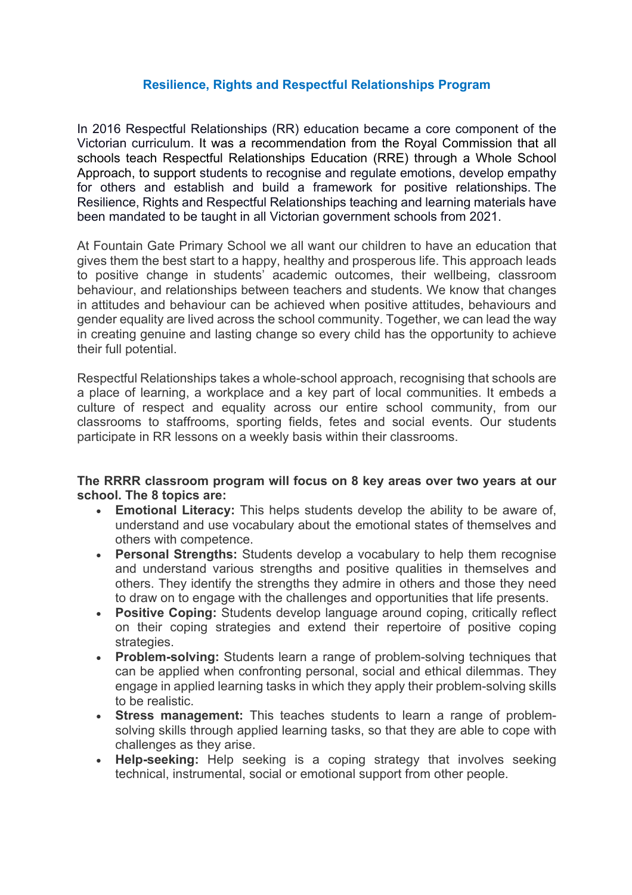## **Resilience, Rights and Respectful Relationships Program**

In 2016 Respectful Relationships (RR) education became a core component of the Victorian curriculum. It was a recommendation from the Royal Commission that all schools teach Respectful Relationships Education (RRE) through a Whole School Approach, to support students to recognise and regulate emotions, develop empathy for others and establish and build a framework for positive relationships. The Resilience, Rights and Respectful Relationships teaching and learning materials have been mandated to be taught in all Victorian government schools from 2021.

At Fountain Gate Primary School we all want our children to have an education that gives them the best start to a happy, healthy and prosperous life. This approach leads to positive change in students' academic outcomes, their wellbeing, classroom behaviour, and relationships between teachers and students. We know that changes in attitudes and behaviour can be achieved when positive attitudes, behaviours and gender equality are lived across the school community. Together, we can lead the way in creating genuine and lasting change so every child has the opportunity to achieve their full potential.

Respectful Relationships takes a whole-school approach, recognising that schools are a place of learning, a workplace and a key part of local communities. It embeds a culture of respect and equality across our entire school community, from our classrooms to staffrooms, sporting fields, fetes and social events. Our students participate in RR lessons on a weekly basis within their classrooms.

## **The RRRR classroom program will focus on 8 key areas over two years at our school. The 8 topics are:**

- **Emotional Literacy:** This helps students develop the ability to be aware of, understand and use vocabulary about the emotional states of themselves and others with competence.
- **Personal Strengths:** Students develop a vocabulary to help them recognise and understand various strengths and positive qualities in themselves and others. They identify the strengths they admire in others and those they need to draw on to engage with the challenges and opportunities that life presents.
- **Positive Coping:** Students develop language around coping, critically reflect on their coping strategies and extend their repertoire of positive coping strategies.
- **Problem-solving:** Students learn a range of problem-solving techniques that can be applied when confronting personal, social and ethical dilemmas. They engage in applied learning tasks in which they apply their problem-solving skills to be realistic.
- **Stress management:** This teaches students to learn a range of problemsolving skills through applied learning tasks, so that they are able to cope with challenges as they arise.
- **Help-seeking:** Help seeking is a coping strategy that involves seeking technical, instrumental, social or emotional support from other people.